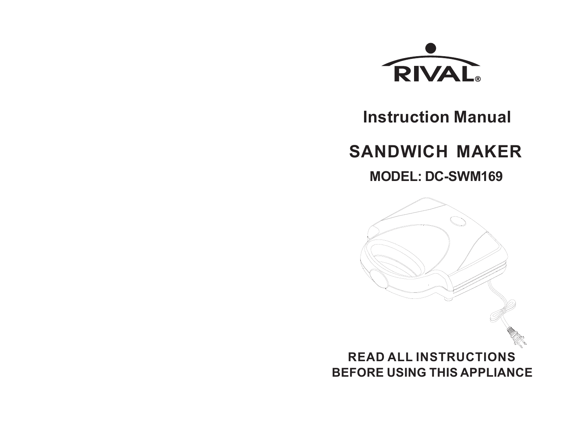

# **Instruction Manual**

# **SANDWICH MAKER**

**MODEL: DC-SWM169**

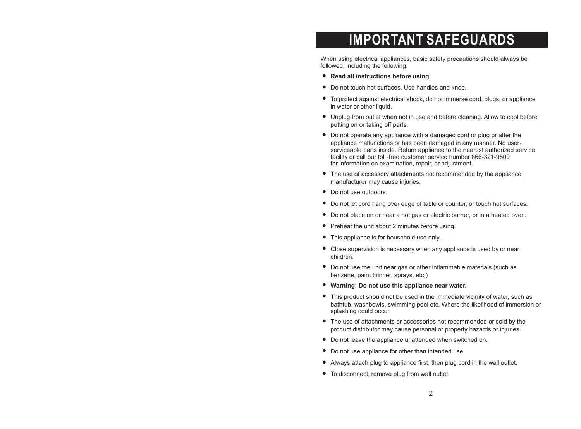### **IMPORTANT SAFEGUARDS**

When using electrical appliances, basic safety precautions should always be followed, including the following:

- **Read all instructions before using.**
- Do not touch hot surfaces. Use handles and knob.
- To protect against electrical shock, do not immerse cord, plugs, or appliance in water or other liquid.
- Unplug from outlet when not in use and before cleaning. Allow to cool before putting on or taking off parts.
- Do not operate any appliance with a damaged cord or plug or after the appliance malfunctions or has been damaged in any manner. No userserviceable parts inside. Return appliance to the nearest authorized service facility or call our toll-free customer service number 866-321-9509 for information on examination, repair, or adjustment.
- The use of accessory attachments not recommended by the appliance manufacturer may cause injuries.
- Do not use outdoors.
- Do not let cord hang over edge of table or counter, or touch hot surfaces.
- Do not place on or near a hot gas or electric burner, or in a heated oven.
- Preheat the unit about 2 minutes before using.
- This appliance is for household use only.
- Close supervision is necessary when any appliance is used by or near children.
- Do not use the unit near gas or other inflammable materials (such as benzene, paint thinner, sprays, etc.)
- **Warning: Do not use this appliance near water.**
- This product should not be used in the immediate vicinity of water, such as bathtub, washbowls, swimming pool etc. Where the likelihood of immersion or splashing could occur.
- The use of attachments or accessories not recommended or sold by the product distributor may cause personal or property hazards or injuries.
- Do not leave the appliance unattended when switched on.
- Do not use appliance for other than intended use.
- Always attach plug to appliance first, then plug cord in the wall outlet.
- To disconnect, remove plug from wall outlet.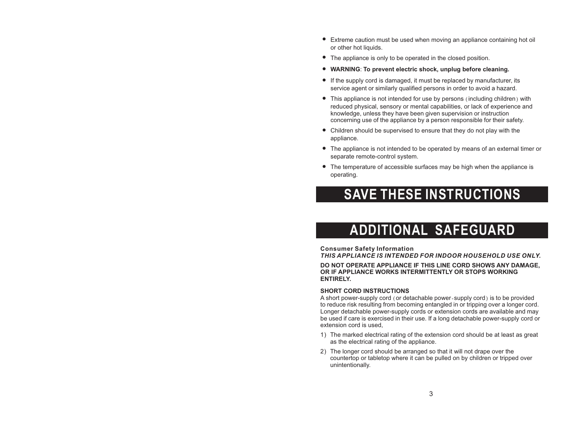- Extreme caution must be used when moving an appliance containing hot oil or other hot liquids.
- The appliance is only to be operated in the closed position.
- **WARNING**: **To prevent electric shock, unplug before cleaning.**
- If the supply cord is damaged, it must be replaced by manufacturer, its service agent or similarly qualified persons in order to avoid a hazard.
- This appliance is not intended for use by persons (including children) with reduced physical, sensory or mental capabilities, or lack of experience and knowledge, unless they have been given supervision or instruction concerning use of the appliance by a person responsible for their safety.
- Children should be supervised to ensure that they do not play with the appliance.
- The appliance is not intended to be operated by means of an external timer or separate remote-control system.
- The temperature of accessible surfaces may be high when the appliance is operating.

## **SAVE THESE INSTRUCTIONS**

# **ADDITIONAL SAFEGUARD**

**Consumer Safety Information** *THIS APPLIANCE IS INTENDED FOR INDOOR HOUSEHOLD USE ONLY.*

#### **DO NOT OPERATE APPLIANCE IF THIS LINE CORD SHOWS ANY DAMAGE, OR IF APPLIANCE WORKS INTERMITTENTLY OR STOPS WORKING ENTIRELY.**

#### **SHORT CORD INSTRUCTIONS**

A short power-supply cord (or detachable power-supply cord) is to be provided to reduce risk resulting from becoming entangled in or tripping over a longer cord. Longer detachable power-supply cords or extension cords are available and may be used if care is exercised in their use. If a long detachable power-supply cord or extension cord is used,

- 1) The marked electrical rating of the extension cord should be at least as great as the electrical rating of the appliance.
- The longer cord should be arranged so that it will not drape over the 2) countertop or tabletop where it can be pulled on by children or tripped over unintentionally.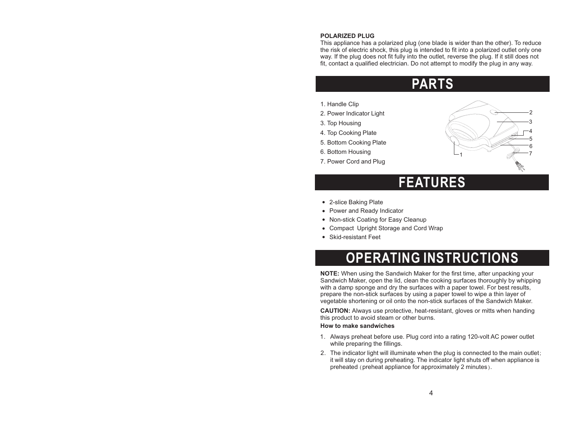#### **POLARIZED PLUG**

This appliance has a polarized plug (one blade is wider than the other). To reduce the risk of electric shock, this plug is intended to fit into a polarized outlet only one way. If the plug does not fit fully into the outlet, reverse the plug. If it still does not fit, contact a qualified electrician. Do not attempt to modify the plug in any way.

### **PARTS**

- 1. Handle Clip
- 2. Power Indicator Light
- 3. Top Housing
- 4. Top Cooking Plate
- 5. Bottom Cooking Plate
- 6. Bottom Housing
- 7. Power Cord and Plug



### **FEATURES**

- 2-slice Baking Plate
- Power and Ready Indicator
- Non-stick Coating for Easy Cleanup
- Compact Upright Storage and Cord Wrap
- Skid-resistant Feet

# **OPERATING INSTRUCTIONS**

**NOTE:** When using the Sandwich Maker for the first time, after unpacking your Sandwich Maker, open the lid, clean the cooking surfaces thoroughly by whipping with a damp sponge and dry the surfaces with a paper towel. For best results, prepare the non-stick surfaces by using a paper towel to wipe a thin layer of vegetable shortening or oil onto the non-stick surfaces of the Sandwich Maker.

**CAUTION:** Always use protective, heat-resistant, gloves or mitts when handing this product to avoid steam or other burns.

#### **How to make sandwiches**

- 1. Always preheat before use. Plug cord into a rating 120-volt AC power outlet while preparing the fillings.
- 2. The indicator light will illuminate when the plug is connected to the main outlet; it will stay on during preheating. The indicator light shuts off when appliance is preheated (preheat appliance for approximately 2 minutes).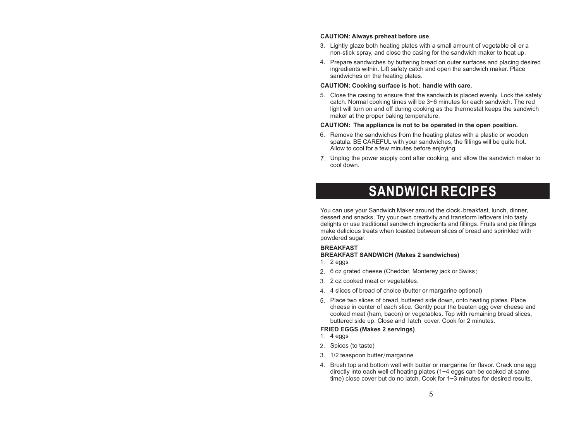#### **CAUTION: Always preheat before use**.

- Lightly glaze both heating plates with a small amount of vegetable oil or a 3. non-stick spray, and close the casing for the sandwich maker to heat up.
- 4. Prepare sandwiches by buttering bread on outer surfaces and placing desired ingredients within. Lift safety catch and open the sandwich maker. Place sandwiches on the heating plates.

#### **CAUTION: Cooking surface is hot**; **handle with care.**

Close the casing to ensure that the sandwich is placed evenly. Lock the safety 5. catch. Normal cooking times will be 3~6 minutes for each sandwich. The red light will turn on and off during cooking as the thermostat keeps the sandwich maker at the proper baking temperature.

#### **CAUTION: The appliance is not to be operated in the open position.**

- 6. Remove the sandwiches from the heating plates with a plastic or wooden spatula. BE CAREFUL with your sandwiches, the fillings will be quite hot. Allow to cool for a few minutes before enjoying.
- 7. Unplug the power supply cord after cooking, and allow the sandwich maker to cool down.

### **SANDWICH RECIPES**

You can use your Sandwich Maker around the clock-breakfast, lunch, dinner, dessert and snacks. Try your own creativity and transform leftovers into tasty delights or use traditional sandwich ingredients and fillings. Fruits and pie fillings make delicious treats when toasted between slices of bread and sprinkled with powdered sugar.

#### **BREAKFAST**

#### **BREAKFAST SANDWICH (Makes 2 sandwiches)**

- 2 eggs 1.
- 6 oz grated cheese (Cheddar, Monterey jack or Swiss) 2.
- 2 oz cooked meat or vegetables. 3.
- 4 slices of bread of choice (butter or margarine optional) 4.
- Place two slices of bread, buttered side down, onto heating plates. Place 5. cheese in center of each slice. Gently pour the beaten egg over cheese and cooked meat (ham, bacon) or vegetables. Top with remaining bread slices, buttered side up. Close and latch cover. Cook for 2 minutes.

#### **FRIED EGGS (Makes 2 servings)**

- 4 eggs 1.
- 2. Spices (to taste)
- 1/2 teaspoon butter/margarine 3.
- 4. Brush top and bottom well with butter or margarine for flavor. Crack one egg directly into each well of heating plates (1~4 eggs can be cooked at same time) close cover but do no latch. Cook for 1~3 minutes for desired results.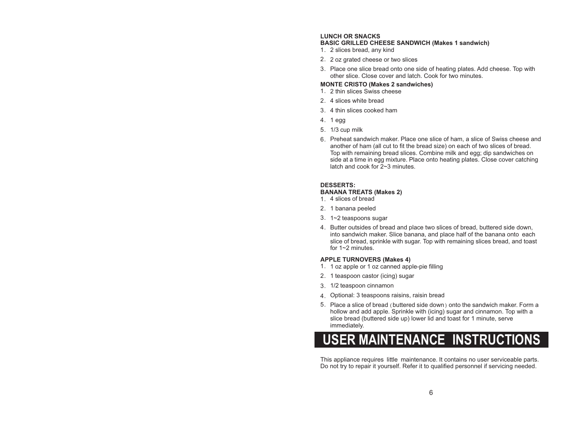#### **LUNCH OR SNACKS**

#### **BASIC GRILLED CHEESE SANDWICH (Makes 1 sandwich)**

- 2 slices bread, any kind 1.
- 2. 2 oz grated cheese or two slices
- Place one slice bread onto one side of heating plates. Add cheese. Top with 3. other slice. Close cover and latch. Cook for two minutes.

#### **MONTE CRISTO (Makes 2 sandwiches)**

- 2 thin slices Swiss cheese 1.
- 2. 4 slices white bread
- 4 thin slices cooked ham 3.
- 4. 1 egg
- 5. 1/3 cup milk
- 6. Preheat sandwich maker. Place one slice of ham, a slice of Swiss cheese and another of ham (all cut to fit the bread size) on each of two slices of bread. Top with remaining bread slices. Combine milk and egg; dip sandwiches on side at a time in egg mixture. Place onto heating plates. Close cover catching latch and cook for 2~3 minutes.

#### **DESSERTS:**

#### **BANANA TREATS (Makes 2)**

- 4 slices of bread 1.
- 2. 1 banana peeled
- 1~2 teaspoons sugar 3.
- 4. Butter outsides of bread and place two slices of bread, buttered side down, into sandwich maker. Slice banana, and place half of the banana onto each slice of bread, sprinkle with sugar. Top with remaining slices bread, and toast for 1~2 minutes.

#### **APPLE TURNOVERS (Makes 4)**

- 1. 1 oz apple or 1 oz canned apple-pie filling
- 2. 1 teaspoon castor (icing) sugar
- 1/2 teaspoon cinnamon 3.
- Optional: 3 teaspoons raisins, raisin bread 4.
- 5. Place a slice of bread (buttered side down) onto the sandwich maker. Form a hollow and add apple. Sprinkle with (icing) sugar and cinnamon. Top with a slice bread (buttered side up) lower lid and toast for 1 minute, serve immediately.



This appliance requires little maintenance. It contains no user serviceable parts. Do not try to repair it yourself. Refer it to qualified personnel if servicing needed.